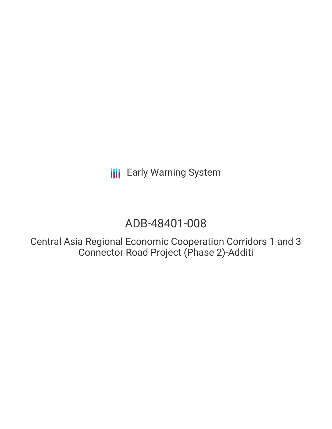# ADB-48401-008

Central Asia Regional Economic Cooperation Corridors 1 and 3 Connector Road Project (Phase 2)-Additi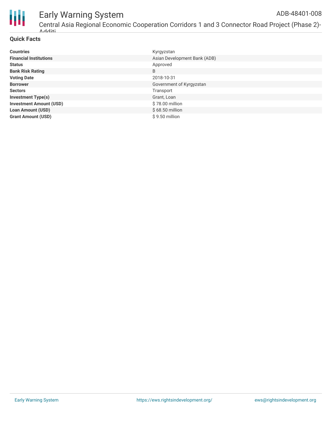

### Early Warning System Central Asia Regional Economic Cooperation Corridors 1 and 3 Connector Road Project (Phase 2)- Additi

#### **Quick Facts**

| <b>Countries</b>               | Kyrgyzstan                   |
|--------------------------------|------------------------------|
| <b>Financial Institutions</b>  | Asian Development Bank (ADB) |
| <b>Status</b>                  | Approved                     |
| <b>Bank Risk Rating</b>        | B                            |
| <b>Voting Date</b>             | 2018-10-31                   |
| <b>Borrower</b>                | Government of Kyrgyzstan     |
| <b>Sectors</b>                 | Transport                    |
| <b>Investment Type(s)</b>      | Grant, Loan                  |
| <b>Investment Amount (USD)</b> | \$78.00 million              |
| <b>Loan Amount (USD)</b>       | $$68.50$ million             |
| <b>Grant Amount (USD)</b>      | \$9.50 million               |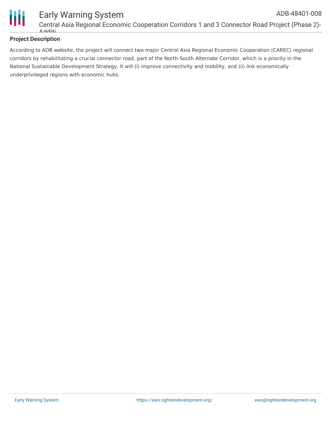

#### **Project Description**

According to ADB website, the project will connect two major Central Asia Regional Economic Cooperation (CAREC) regional corridors by rehabilitating a crucial connector road, part of the North-South Alternate Corridor, which is a priority in the National Sustainable Development Strategy. It will (i) improve connectivity and mobility, and (ii) link economically underprivileged regions with economic hubs.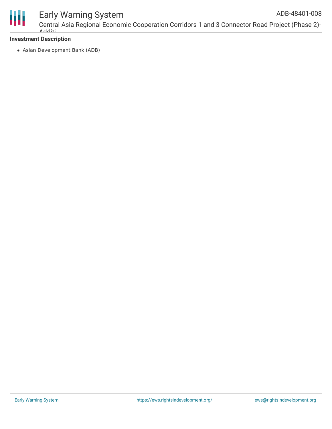

Central Asia Regional Economic Cooperation Corridors 1 and 3 Connector Road Project (Phase 2)- Additi ADB-48401-008

#### **Investment Description**

Asian Development Bank (ADB)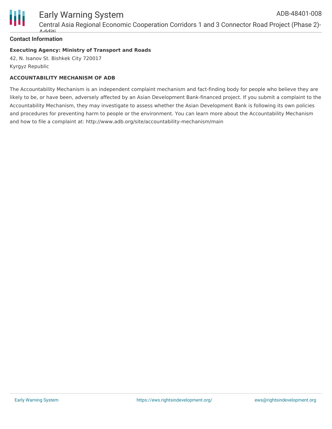

Central Asia Regional Economic Cooperation Corridors 1 and 3 Connector Road Project (Phase 2)- Additi

#### **Contact Information**

#### **Executing Agency: Ministry of Transport and Roads**

42, N. Isanov St. Bishkek City 720017 Kyrgyz Republic

#### **ACCOUNTABILITY MECHANISM OF ADB**

The Accountability Mechanism is an independent complaint mechanism and fact-finding body for people who believe they are likely to be, or have been, adversely affected by an Asian Development Bank-financed project. If you submit a complaint to the Accountability Mechanism, they may investigate to assess whether the Asian Development Bank is following its own policies and procedures for preventing harm to people or the environment. You can learn more about the Accountability Mechanism and how to file a complaint at: http://www.adb.org/site/accountability-mechanism/main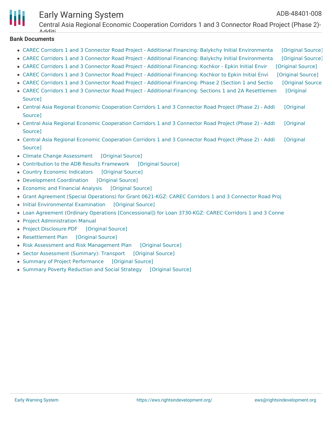Central Asia Regional Economic Cooperation Corridors 1 and 3 Connector Road Project (Phase 2)- Additi

#### **Bank Documents**

- CAREC Corridors 1 and 3 Connector Road Project Additional Financing: Balykchy Initial [Environmenta](https://ewsdata.rightsindevelopment.org/files/documents/08/ADB-48401-008_AHccG8O.pdf) [\[Original](https://www.adb.org/projects/documents/kgz-48401-008-iee-2) Source]
- CAREC Corridors 1 and 3 Connector Road Project Additional Financing: Balykchy Initial [Environmenta](https://ewsdata.rightsindevelopment.org/files/documents/08/ADB-48401-008_VuTmNwW.pdf) [\[Original](https://www.adb.org/projects/documents/kgz-48401-008-iee) Source]
- CAREC Corridors 1 and 3 Connector Road Project Additional [Financing:](https://ewsdata.rightsindevelopment.org/files/documents/08/ADB-48401-008_ymojySs.pdf) Kochkor Epkin Initial Envir [\[Original](https://www.adb.org/projects/documents/kgz-48401-008-iee-0) Source]
- CAREC Corridors 1 and 3 Connector Road Project Additional [Financing:](https://ewsdata.rightsindevelopment.org/files/documents/08/ADB-48401-008_Cv0wtqG.pdf) Kochkor to Epkin Initial Envi [\[Original](https://www.adb.org/projects/documents/kgz-48401-008-iee-1) Source]
- CAREC Corridors 1 and 3 Connector Road Project Additional [Financing:](https://ewsdata.rightsindevelopment.org/files/documents/08/ADB-48401-008_x0n4jYL.pdf) Phase 2 (Section 1 and Sectio [\[Original](https://www.adb.org/projects/documents/kgz-48401-008-rp-1) Source]
- CAREC Corridors 1 and 3 Connector Road Project Additional Financing: Sections 1 and 2A [Resettlemen](https://www.adb.org/projects/documents/kgz-48401-008-rp) [Original Source]
- Central Asia Regional Economic [Cooperation](https://www.adb.org/projects/documents/kgz-48401-008-rrp) Corridors 1 and 3 Connector Road Project (Phase 2) Addi [Original Source]
- Central Asia Regional Economic [Cooperation](https://www.adb.org/projects/documents/kgz-48401-008-pam) Corridors 1 and 3 Connector Road Project (Phase 2) Addi [Original Source]
- Central Asia Regional Economic [Cooperation](https://www.adb.org/projects/documents/kgz-48401-008-pp) Corridors 1 and 3 Connector Road Project (Phase 2) Addi [Original Source]
- Climate Change [Assessment](https://ewsdata.rightsindevelopment.org/files/documents/08/ADB-48401-008_hHrtJyb.pdf) [\[Original](https://www.adb.org/projects/documents/kgz-48401-008-rrp) Source]
- [Contribution](https://ewsdata.rightsindevelopment.org/files/documents/08/ADB-48401-008_HPmOsnK.pdf) to the ADB Results Framework [\[Original](https://www.adb.org/projects/documents/kgz-48401-008-rrp) Source]
- Country Economic [Indicators](https://ewsdata.rightsindevelopment.org/files/documents/08/ADB-48401-008_ByvZMq7.pdf) [\[Original](https://www.adb.org/projects/documents/kgz-48401-008-rrp) Source]
- [Development](https://ewsdata.rightsindevelopment.org/files/documents/08/ADB-48401-008_JtVNfcm.pdf) Coordination [\[Original](https://www.adb.org/projects/documents/kgz-48401-008-rrp) Source]
- [Economic](https://ewsdata.rightsindevelopment.org/files/documents/08/ADB-48401-008_SH9wIJe.pdf) and Financial Analysis [\[Original](https://www.adb.org/projects/documents/kgz-48401-008-rrp) Source]
- Grant Agreement (Special [Operations\)](https://www.adb.org/sites/default/files/project-documents/48401/48401-008-grj-en.pdf) for Grant 0621-KGZ: CAREC Corridors 1 and 3 Connector Road Proj
- Initial [Environmental](https://ewsdata.rightsindevelopment.org/files/documents/08/ADB-48401-008_FIVZVZQ.pdf) Examination [\[Original](https://www.adb.org/projects/documents/kgz-48401-008-rrp) Source]
- Loan Agreement (Ordinary Operations [\[Concessional\]\)](https://www.adb.org/sites/default/files/project-documents/48401/48401-008-lna-en.pdf) for Loan 3730-KGZ: CAREC Corridors 1 and 3 Conne
- Project [Administration](https://www.adb.org/projects/documents/kgz-48401-008-rrp) Manual
- Project [Disclosure](https://ewsdata.rightsindevelopment.org/files/documents/08/ADB-48401-008.pdf) PDF [\[Original](https://www.adb.org/printpdf/projects/48401-008/main) Source]
- [Resettlement](https://ewsdata.rightsindevelopment.org/files/documents/08/ADB-48401-008_vEalssU.pdf) Plan [\[Original](https://www.adb.org/projects/documents/kgz-48401-008-rrp) Source]
- Risk Assessment and Risk [Management](https://ewsdata.rightsindevelopment.org/files/documents/08/ADB-48401-008_qrvNDQS.pdf) Plan [\[Original](https://www.adb.org/projects/documents/kgz-48401-008-rrp) Source]
- Sector [Assessment](https://ewsdata.rightsindevelopment.org/files/documents/08/ADB-48401-008_oUuzOiv.pdf) (Summary): Transport [\[Original](https://www.adb.org/projects/documents/kgz-48401-008-rrp) Source]
- Summary of Project [Performance](https://ewsdata.rightsindevelopment.org/files/documents/08/ADB-48401-008_GaL9cEa.pdf) [\[Original](https://www.adb.org/projects/documents/kgz-48401-008-rrp) Source]
- Summary Poverty [Reduction](https://ewsdata.rightsindevelopment.org/files/documents/08/ADB-48401-008_yODxAb3.pdf) and Social Strategy [\[Original](https://www.adb.org/projects/documents/kgz-48401-008-rrp) Source]